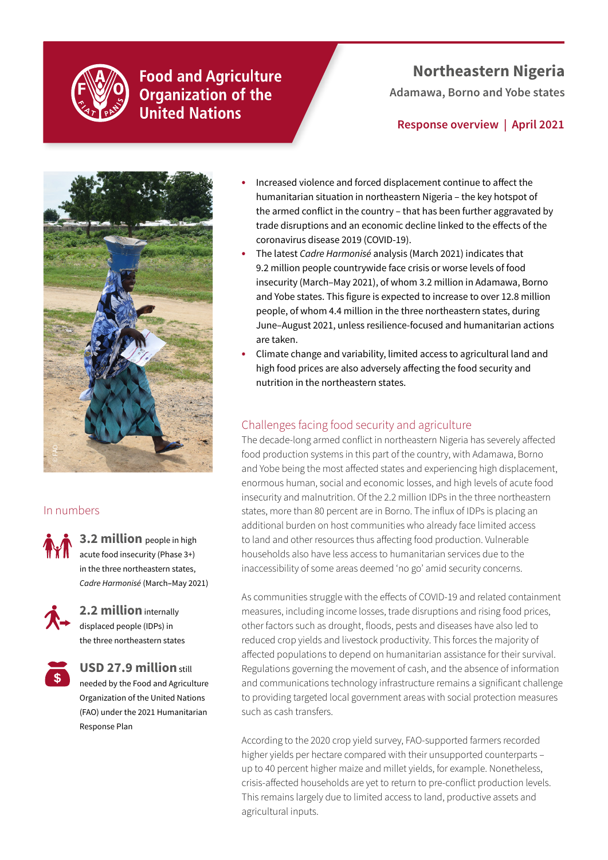

## **Food and Agriculture Organization of the United Nations**

# **Northeastern Nigeria**

**Adamawa, Borno and Yobe states** 

## **Response overview | April 2021**



## In numbers

**3.2 million** people in high acute food insecurity (Phase 3+) in the three northeastern states, *Cadre Harmonisé* (March**–**May 2021)



**2.2 million** internally displaced people (IDPs) in the three northeastern states

Response Plan



### **USD 27.9 million** still needed by the Food and Agriculture Organization of the United Nations (FAO) under the 2021 Humanitarian

- **•** Increased violence and forced displacement continue to affect the humanitarian situation in northeastern Nigeria – the key hotspot of the armed conflict in the country – that has been further aggravated by trade disruptions and an economic decline linked to the effects of the coronavirus disease 2019 (COVID-19).
- **•** The latest *Cadre Harmonisé* analysis (March 2021) indicates that 9.2 million people countrywide face crisis or worse levels of food insecurity (March–May 2021), of whom 3.2 million in Adamawa, Borno and Yobe states. This figure is expected to increase to over 12.8 million people, of whom 4.4 million in the three northeastern states, during June–August 2021, unless resilience-focused and humanitarian actions are taken.
- **•** Climate change and variability, limited access to agricultural land and high food prices are also adversely affecting the food security and nutrition in the northeastern states.

### Challenges facing food security and agriculture

The decade-long armed conflict in northeastern Nigeria has severely affected food production systems in this part of the country, with Adamawa, Borno and Yobe being the most affected states and experiencing high displacement, enormous human, social and economic losses, and high levels of acute food insecurity and malnutrition. Of the 2.2 million IDPs in the three northeastern states, more than 80 percent are in Borno. The influx of IDPs is placing an additional burden on host communities who already face limited access to land and other resources thus affecting food production. Vulnerable households also have less access to humanitarian services due to the inaccessibility of some areas deemed 'no go' amid security concerns.

As communities struggle with the effects of COVID-19 and related containment measures, including income losses, trade disruptions and rising food prices, other factors such as drought, floods, pests and diseases have also led to reduced crop yields and livestock productivity. This forces the majority of affected populations to depend on humanitarian assistance for their survival. Regulations governing the movement of cash, and the absence of information and communications technology infrastructure remains a significant challenge to providing targeted local government areas with social protection measures such as cash transfers.

According to the 2020 crop yield survey, FAO-supported farmers recorded higher yields per hectare compared with their unsupported counterparts – up to 40 percent higher maize and millet yields, for example. Nonetheless, crisis-affected households are yet to return to pre-conflict production levels. This remains largely due to limited access to land, productive assets and agricultural inputs.